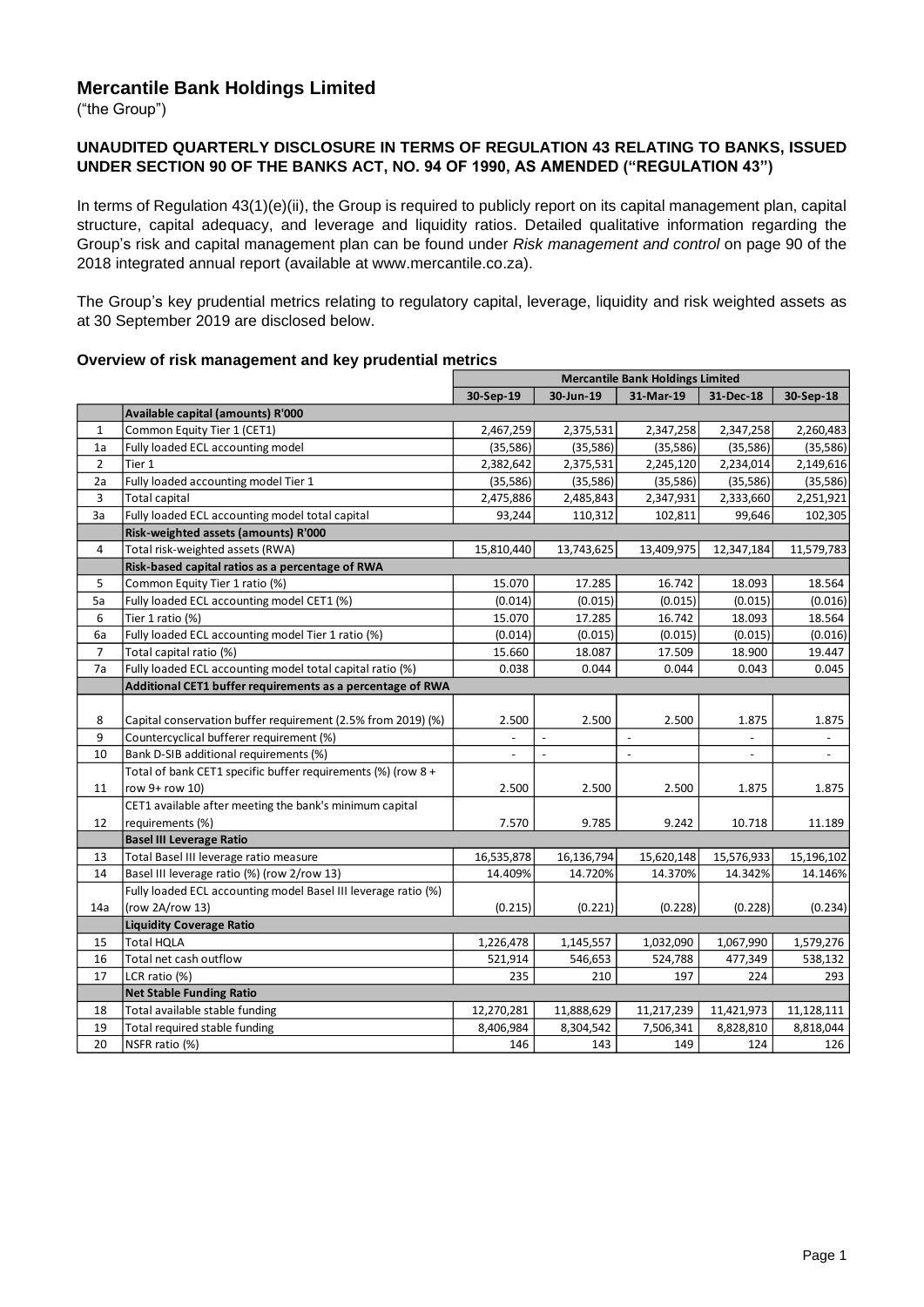# **Mercantile Bank Holdings Limited**

("the Group")

#### **UNAUDITED QUARTERLY DISCLOSURE IN TERMS OF REGULATION 43 RELATING TO BANKS, ISSUED UNDER SECTION 90 OF THE BANKS ACT, NO. 94 OF 1990, AS AMENDED ("REGULATION 43")**

In terms of Regulation 43(1)(e)(ii), the Group is required to publicly report on its capital management plan, capital structure, capital adequacy, and leverage and liquidity ratios. Detailed qualitative information regarding the Group's risk and capital management plan can be found under *Risk management and control* on page 90 of the 2018 integrated annual report (available at www.mercantile.co.za).

The Group's key prudential metrics relating to regulatory capital, leverage, liquidity and risk weighted assets as at 30 September 2019 are disclosed below.

|                |                                                                | <b>Mercantile Bank Holdings Limited</b> |                          |                |                          |                          |
|----------------|----------------------------------------------------------------|-----------------------------------------|--------------------------|----------------|--------------------------|--------------------------|
|                |                                                                | 30-Sep-19                               | 30-Jun-19                | 31-Mar-19      | 31-Dec-18                | 30-Sep-18                |
|                | Available capital (amounts) R'000                              |                                         |                          |                |                          |                          |
| $\mathbf{1}$   | Common Equity Tier 1 (CET1)                                    | 2,467,259                               | 2,375,531                | 2,347,258      | 2,347,258                | 2,260,483                |
| 1a             | Fully loaded ECL accounting model                              | (35, 586)                               | (35, 586)                | (35,586)       | (35,586)                 | (35, 586)                |
| $\overline{2}$ | Tier 1                                                         | 2,382,642                               | 2,375,531                | 2,245,120      | 2,234,014                | 2,149,616                |
| 2a             | Fully loaded accounting model Tier 1                           | (35,586)                                | (35,586)                 | (35,586)       | (35,586)                 | (35,586)                 |
| 3              | <b>Total capital</b>                                           | 2,475,886                               | 2,485,843                | 2,347,931      | 2,333,660                | 2,251,921                |
| 3a             | Fully loaded ECL accounting model total capital                | 93,244                                  | 110,312                  | 102,811        | 99,646                   | 102,305                  |
|                | Risk-weighted assets (amounts) R'000                           |                                         |                          |                |                          |                          |
| 4              | Total risk-weighted assets (RWA)                               | 15,810,440                              | 13,743,625               | 13,409,975     | 12,347,184               | 11,579,783               |
|                | Risk-based capital ratios as a percentage of RWA               |                                         |                          |                |                          |                          |
| 5              | Common Equity Tier 1 ratio (%)                                 | 15.070                                  | 17.285                   | 16.742         | 18.093                   | 18.564                   |
| 5a             | Fully loaded ECL accounting model CET1 (%)                     | (0.014)                                 | (0.015)                  | (0.015)        | (0.015)                  | (0.016)                  |
| 6              | Tier 1 ratio (%)                                               | 15.070                                  | 17.285                   | 16.742         | 18.093                   | 18.564                   |
| 6a             | Fully loaded ECL accounting model Tier 1 ratio (%)             | (0.014)                                 | (0.015)                  | (0.015)        | (0.015)                  | (0.016)                  |
| 7              | Total capital ratio (%)                                        | 15.660                                  | 18.087                   | 17.509         | 18.900                   | 19.447                   |
| 7a             | Fully loaded ECL accounting model total capital ratio (%)      | 0.038                                   | 0.044                    | 0.044          | 0.043                    | 0.045                    |
|                | Additional CET1 buffer requirements as a percentage of RWA     |                                         |                          |                |                          |                          |
|                |                                                                |                                         |                          |                |                          |                          |
| 8              | Capital conservation buffer requirement (2.5% from 2019) (%)   | 2.500                                   | 2.500                    | 2.500          | 1.875                    | 1.875                    |
| 9              | Countercyclical bufferer requirement (%)                       |                                         | $\overline{a}$           | $\overline{a}$ |                          |                          |
| 10             | Bank D-SIB additional requirements (%)                         | $\overline{\phantom{a}}$                | $\overline{\phantom{a}}$ | $\mathbb{L}$   | $\overline{\phantom{a}}$ | $\overline{\phantom{a}}$ |
|                | Total of bank CET1 specific buffer requirements (%) (row 8 +   |                                         |                          |                |                          |                          |
| 11             | row 9+ row 10)                                                 | 2.500                                   | 2.500                    | 2.500          | 1.875                    | 1.875                    |
|                | CET1 available after meeting the bank's minimum capital        |                                         |                          |                |                          |                          |
| 12             | requirements (%)                                               | 7.570                                   | 9.785                    | 9.242          | 10.718                   | 11.189                   |
|                | <b>Basel III Leverage Ratio</b>                                |                                         |                          |                |                          |                          |
| 13             | Total Basel III leverage ratio measure                         | 16,535,878                              | 16,136,794               | 15,620,148     | 15,576,933               | 15,196,102               |
| 14             | Basel III leverage ratio (%) (row 2/row 13)                    | 14.409%                                 | 14.720%                  | 14.370%        | 14.342%                  | 14.146%                  |
|                | Fully loaded ECL accounting model Basel III leverage ratio (%) |                                         |                          |                |                          |                          |
| 14a            | (row 2A/row 13)                                                | (0.215)                                 | (0.221)                  | (0.228)        | (0.228)                  | (0.234)                  |
|                | <b>Liquidity Coverage Ratio</b>                                |                                         |                          |                |                          |                          |
| 15             | <b>Total HQLA</b>                                              | 1,226,478                               | 1,145,557                | 1,032,090      | 1,067,990                | 1,579,276                |
| 16             | Total net cash outflow                                         | 521,914                                 | 546,653                  | 524,788        | 477,349                  | 538,132                  |
| 17             | LCR ratio (%)                                                  | 235                                     | 210                      | 197            | 224                      | 293                      |
|                | <b>Net Stable Funding Ratio</b>                                |                                         |                          |                |                          |                          |
| 18             | Total available stable funding                                 | 12,270,281                              | 11,888,629               | 11,217,239     | 11,421,973               | 11,128,111               |
| 19             | Total required stable funding                                  | 8,406,984                               | 8,304,542                | 7,506,341      | 8,828,810                | 8,818,044                |
| 20             | NSFR ratio (%)                                                 | 146                                     | 143                      | 149            | 124                      | 126                      |
|                |                                                                |                                         |                          |                |                          |                          |

#### **Overview of risk management and key prudential metrics**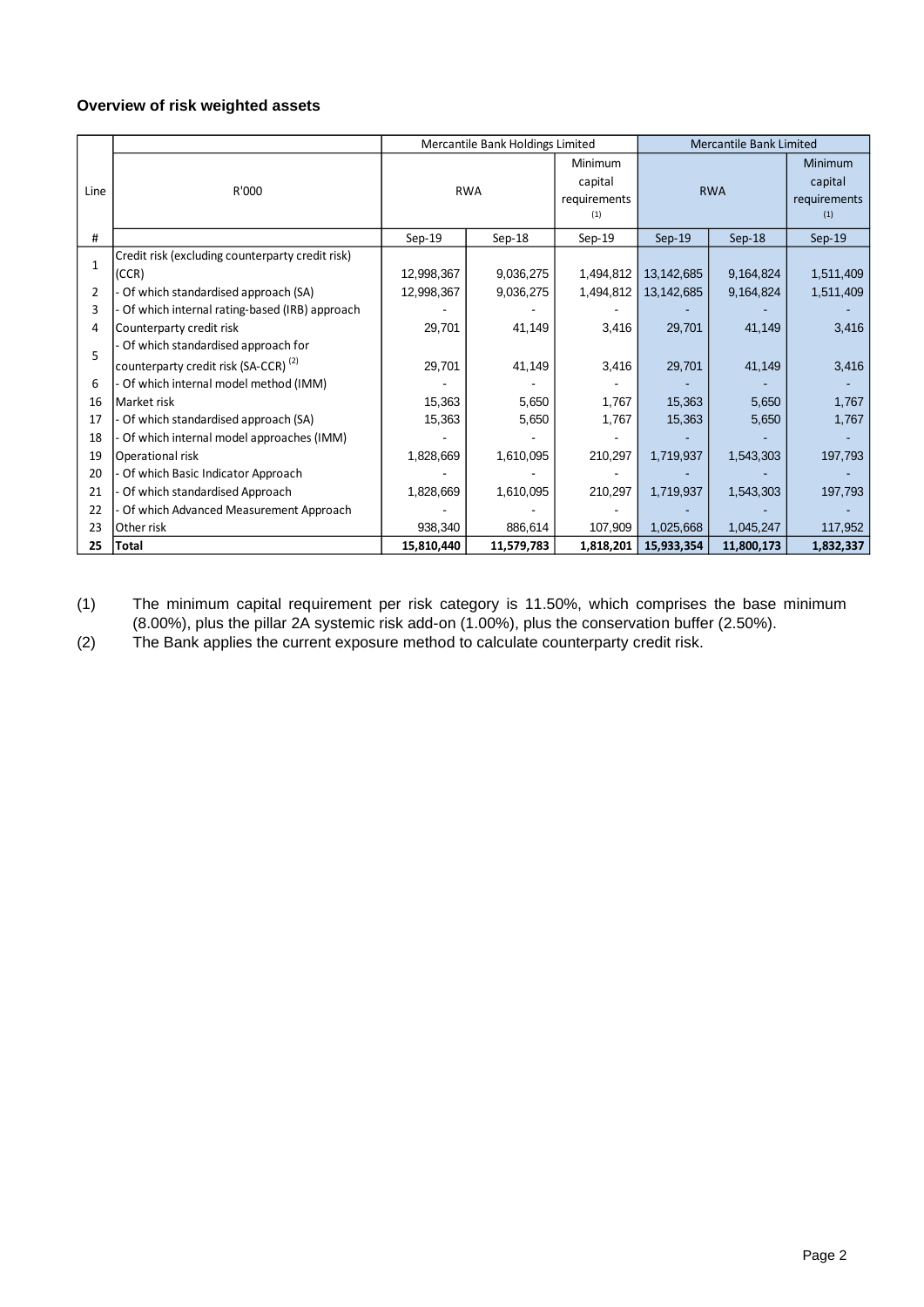## **Overview of risk weighted assets**

|              |                                                                                        | Mercantile Bank Holdings Limited |            |                                           | <b>Mercantile Bank Limited</b> |            |                                           |
|--------------|----------------------------------------------------------------------------------------|----------------------------------|------------|-------------------------------------------|--------------------------------|------------|-------------------------------------------|
| Line         | R'000                                                                                  | <b>RWA</b>                       |            | Minimum<br>capital<br>requirements<br>(1) | <b>RWA</b>                     |            | Minimum<br>capital<br>requirements<br>(1) |
| #            |                                                                                        | $Sep-19$                         | $Sep-18$   | $Sep-19$                                  | $Sep-19$                       | $Sep-18$   | $Sep-19$                                  |
| $\mathbf{1}$ | Credit risk (excluding counterparty credit risk)<br>(CCR)                              | 12,998,367                       | 9,036,275  | 1,494,812                                 | 13, 142, 685                   | 9,164,824  | 1,511,409                                 |
| 2            | Of which standardised approach (SA)                                                    | 12,998,367                       | 9,036,275  | 1,494,812                                 | 13, 142, 685                   | 9,164,824  | 1,511,409                                 |
| 3            | Of which internal rating-based (IRB) approach                                          |                                  |            |                                           |                                |            |                                           |
| 4            | Counterparty credit risk                                                               | 29,701                           | 41,149     | 3,416                                     | 29,701                         | 41,149     | 3,416                                     |
| 5            | Of which standardised approach for<br>counterparty credit risk (SA-CCR) <sup>(2)</sup> | 29,701                           | 41,149     | 3,416                                     | 29,701                         | 41,149     | 3,416                                     |
| 6            | Of which internal model method (IMM)                                                   |                                  |            |                                           |                                |            |                                           |
| 16           | Market risk                                                                            | 15,363                           | 5,650      | 1,767                                     | 15,363                         | 5,650      | 1,767                                     |
| 17           | Of which standardised approach (SA)                                                    | 15,363                           | 5,650      | 1,767                                     | 15,363                         | 5,650      | 1,767                                     |
| 18           | Of which internal model approaches (IMM)                                               |                                  |            |                                           |                                |            |                                           |
| 19           | Operational risk                                                                       | 1,828,669                        | 1,610,095  | 210,297                                   | 1,719,937                      | 1,543,303  | 197,793                                   |
| 20           | Of which Basic Indicator Approach                                                      |                                  |            |                                           |                                |            |                                           |
| 21           | Of which standardised Approach                                                         | 1,828,669                        | 1,610,095  | 210,297                                   | 1,719,937                      | 1,543,303  | 197,793                                   |
| 22           | Of which Advanced Measurement Approach                                                 |                                  |            |                                           |                                |            |                                           |
| 23           | Other risk                                                                             | 938,340                          | 886,614    | 107,909                                   | 1,025,668                      | 1,045,247  | 117,952                                   |
| 25           | Total                                                                                  | 15,810,440                       | 11,579,783 | 1,818,201                                 | 15,933,354                     | 11,800,173 | 1,832,337                                 |

(1) The minimum capital requirement per risk category is 11.50%, which comprises the base minimum (8.00%), plus the pillar 2A systemic risk add-on (1.00%), plus the conservation buffer (2.50%).

(2) The Bank applies the current exposure method to calculate counterparty credit risk.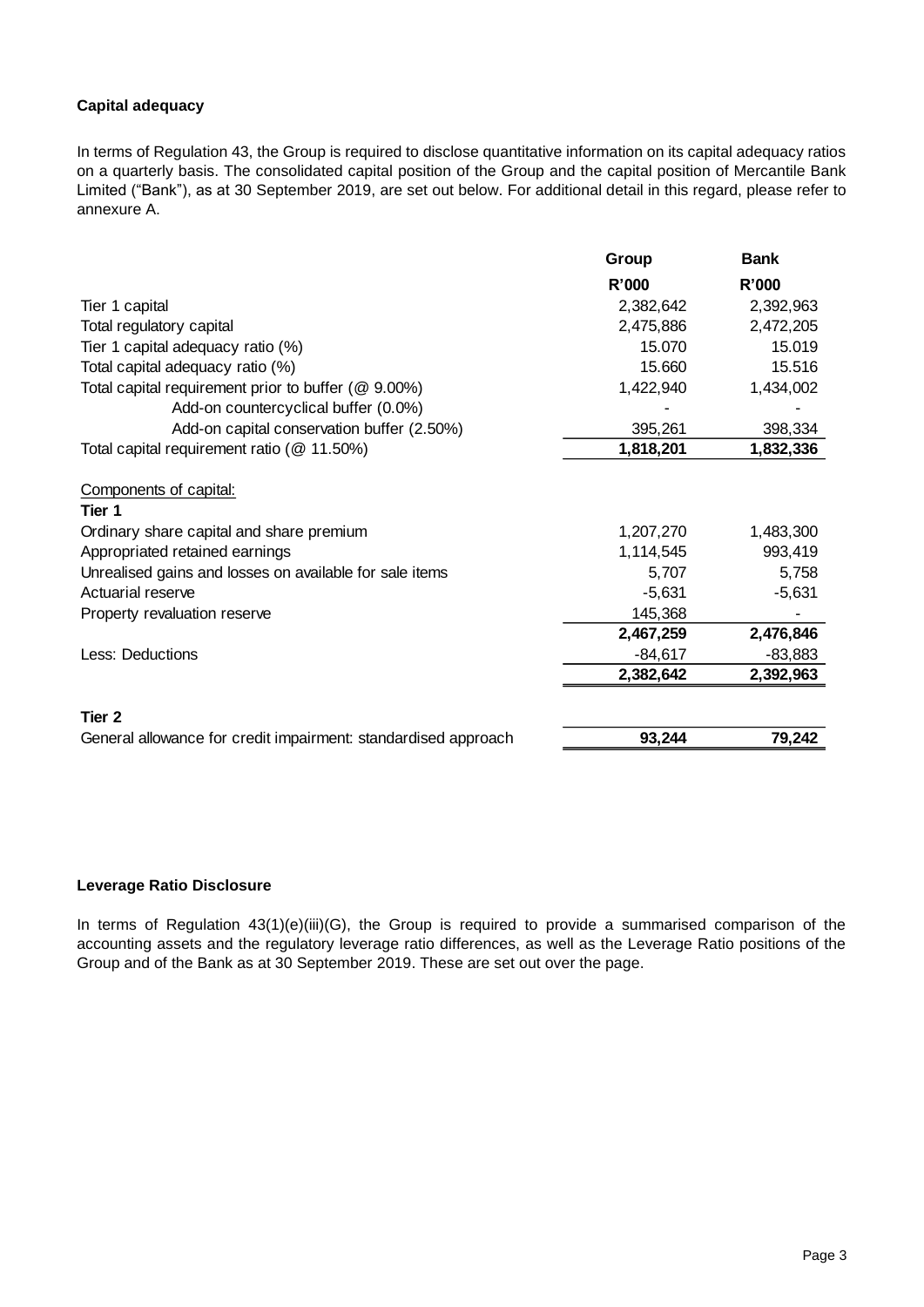### **Capital adequacy**

In terms of Regulation 43, the Group is required to disclose quantitative information on its capital adequacy ratios on a quarterly basis. The consolidated capital position of the Group and the capital position of Mercantile Bank Limited ("Bank"), as at 30 September 2019, are set out below. For additional detail in this regard, please refer to annexure A.

|                                                                | Group     | <b>Bank</b> |
|----------------------------------------------------------------|-----------|-------------|
|                                                                | R'000     | R'000       |
| Tier 1 capital                                                 | 2,382,642 | 2,392,963   |
| Total regulatory capital                                       | 2,475,886 | 2,472,205   |
| Tier 1 capital adequacy ratio (%)                              | 15.070    | 15.019      |
| Total capital adequacy ratio (%)                               | 15.660    | 15.516      |
| Total capital requirement prior to buffer (@ 9.00%)            | 1,422,940 | 1,434,002   |
| Add-on countercyclical buffer (0.0%)                           |           |             |
| Add-on capital conservation buffer (2.50%)                     | 395,261   | 398,334     |
| Total capital requirement ratio (@ 11.50%)                     | 1,818,201 | 1,832,336   |
| Components of capital:<br>Tier 1                               |           |             |
| Ordinary share capital and share premium                       | 1,207,270 | 1,483,300   |
| Appropriated retained earnings                                 | 1,114,545 | 993,419     |
| Unrealised gains and losses on available for sale items        | 5,707     | 5,758       |
| Actuarial reserve                                              | $-5,631$  | $-5,631$    |
| Property revaluation reserve                                   | 145,368   |             |
|                                                                | 2,467,259 | 2,476,846   |
| Less: Deductions                                               | $-84,617$ | $-83,883$   |
|                                                                | 2,382,642 | 2,392,963   |
| Tier 2                                                         |           |             |
| General allowance for credit impairment: standardised approach | 93,244    | 79,242      |

## **Leverage Ratio Disclosure**

In terms of Regulation 43(1)(e)(iii)(G), the Group is required to provide a summarised comparison of the accounting assets and the regulatory leverage ratio differences, as well as the Leverage Ratio positions of the Group and of the Bank as at 30 September 2019. These are set out over the page.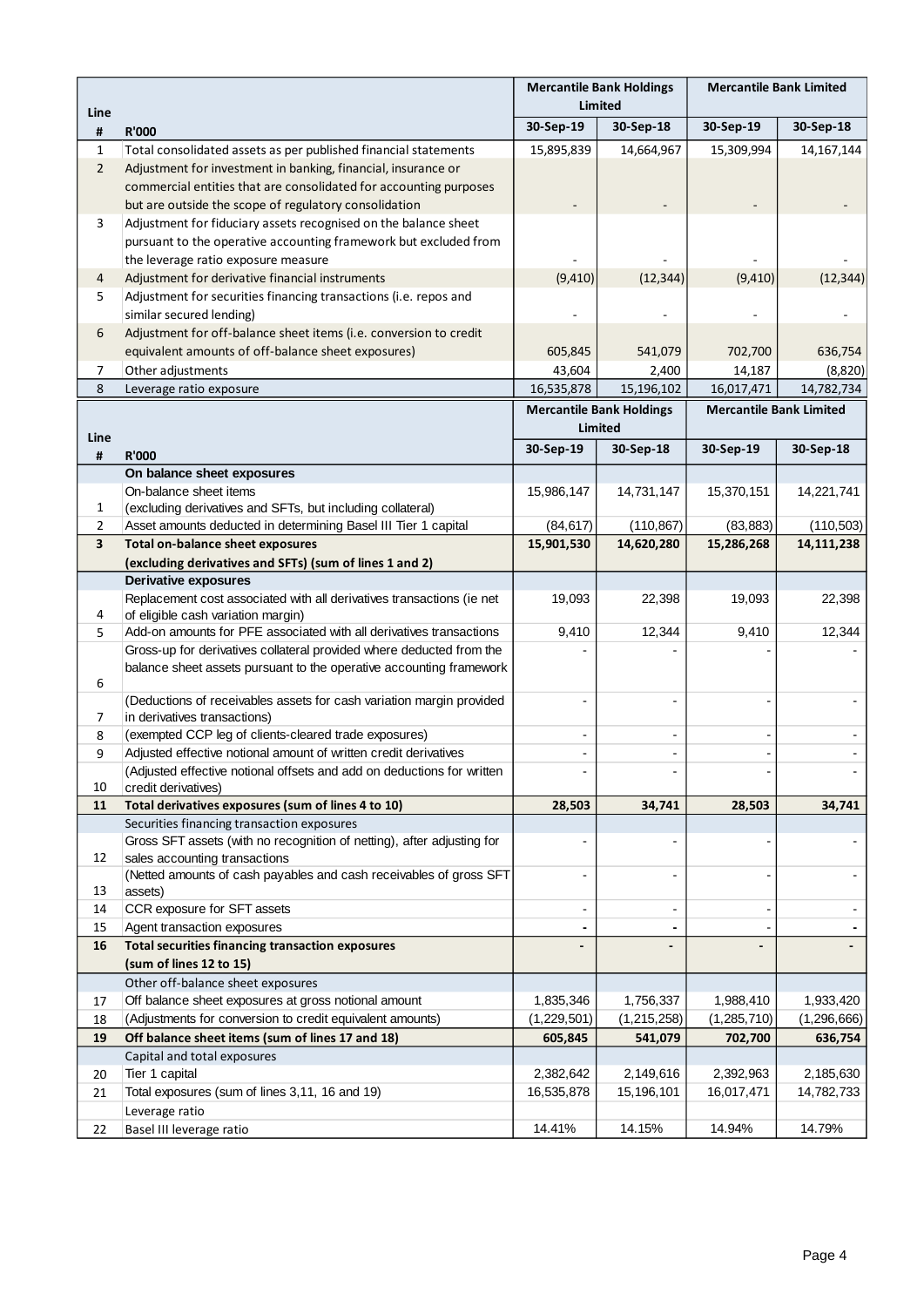|                         |                                                                                                                                             | <b>Mercantile Bank Holdings</b> |                                            | <b>Mercantile Bank Limited</b> |                         |
|-------------------------|---------------------------------------------------------------------------------------------------------------------------------------------|---------------------------------|--------------------------------------------|--------------------------------|-------------------------|
| Line                    |                                                                                                                                             | Limited                         |                                            |                                |                         |
| #                       | <b>R'000</b>                                                                                                                                | 30-Sep-19                       | 30-Sep-18                                  | 30-Sep-19                      | 30-Sep-18               |
| $\mathbf{1}$            | Total consolidated assets as per published financial statements                                                                             | 15,895,839                      | 14,664,967                                 | 15,309,994                     | 14,167,144              |
| $\overline{2}$          | Adjustment for investment in banking, financial, insurance or                                                                               |                                 |                                            |                                |                         |
|                         | commercial entities that are consolidated for accounting purposes                                                                           |                                 |                                            |                                |                         |
|                         | but are outside the scope of regulatory consolidation                                                                                       |                                 |                                            |                                |                         |
| 3                       | Adjustment for fiduciary assets recognised on the balance sheet                                                                             |                                 |                                            |                                |                         |
|                         | pursuant to the operative accounting framework but excluded from                                                                            |                                 |                                            |                                |                         |
|                         | the leverage ratio exposure measure                                                                                                         |                                 |                                            |                                |                         |
| 4                       | Adjustment for derivative financial instruments                                                                                             | (9, 410)                        | (12, 344)                                  | (9, 410)                       | (12, 344)               |
| 5                       | Adjustment for securities financing transactions (i.e. repos and<br>similar secured lending)                                                |                                 |                                            |                                |                         |
| 6                       | Adjustment for off-balance sheet items (i.e. conversion to credit                                                                           |                                 |                                            |                                |                         |
|                         | equivalent amounts of off-balance sheet exposures)                                                                                          | 605,845                         | 541,079                                    | 702,700                        | 636,754                 |
| 7                       | Other adjustments                                                                                                                           | 43,604                          | 2,400                                      | 14,187                         | (8,820)                 |
| 8                       | Leverage ratio exposure                                                                                                                     | 16,535,878                      | 15,196,102                                 | 16,017,471                     | 14,782,734              |
|                         |                                                                                                                                             |                                 | <b>Mercantile Bank Holdings</b><br>Limited | <b>Mercantile Bank Limited</b> |                         |
| Line                    |                                                                                                                                             | 30-Sep-19                       | 30-Sep-18                                  | 30-Sep-19                      | 30-Sep-18               |
| #                       | <b>R'000</b><br>On balance sheet exposures                                                                                                  |                                 |                                            |                                |                         |
|                         | On-balance sheet items                                                                                                                      | 15,986,147                      | 14,731,147                                 | 15,370,151                     | 14,221,741              |
| 1                       | (excluding derivatives and SFTs, but including collateral)                                                                                  |                                 |                                            |                                |                         |
| 2                       | Asset amounts deducted in determining Basel III Tier 1 capital                                                                              | (84, 617)                       | (110, 867)                                 | (83, 883)                      | (110, 503)              |
| $\overline{\mathbf{3}}$ | <b>Total on-balance sheet exposures</b>                                                                                                     | 15,901,530                      | 14,620,280                                 | 15,286,268                     | 14,111,238              |
|                         | (excluding derivatives and SFTs) (sum of lines 1 and 2)                                                                                     |                                 |                                            |                                |                         |
|                         | <b>Derivative exposures</b>                                                                                                                 |                                 |                                            |                                |                         |
|                         | Replacement cost associated with all derivatives transactions (ie net                                                                       | 19,093                          | 22,398                                     | 19,093                         | 22,398                  |
| 4                       | of eligible cash variation margin)                                                                                                          |                                 |                                            |                                |                         |
| 5                       | Add-on amounts for PFE associated with all derivatives transactions                                                                         | 9,410                           | 12,344                                     | 9,410                          | 12,344                  |
|                         | Gross-up for derivatives collateral provided where deducted from the<br>balance sheet assets pursuant to the operative accounting framework |                                 |                                            |                                |                         |
| 6                       |                                                                                                                                             |                                 |                                            |                                |                         |
|                         | (Deductions of receivables assets for cash variation margin provided                                                                        |                                 |                                            |                                |                         |
| 7                       | in derivatives transactions)                                                                                                                |                                 |                                            |                                |                         |
| 8                       | (exempted CCP leg of clients-cleared trade exposures)                                                                                       | $\qquad \qquad \blacksquare$    | -                                          |                                |                         |
| 9                       | Adjusted effective notional amount of written credit derivatives                                                                            | $\overline{\phantom{a}}$        |                                            |                                |                         |
|                         | (Adjusted effective notional offsets and add on deductions for written                                                                      |                                 |                                            |                                |                         |
| 10                      | credit derivatives)                                                                                                                         |                                 |                                            |                                |                         |
| 11                      | Total derivatives exposures (sum of lines 4 to 10)                                                                                          | 28,503                          | 34,741                                     | 28,503                         | 34,741                  |
|                         | Securities financing transaction exposures<br>Gross SFT assets (with no recognition of netting), after adjusting for                        |                                 | -                                          |                                |                         |
| 12                      | sales accounting transactions                                                                                                               |                                 |                                            |                                |                         |
|                         | (Netted amounts of cash payables and cash receivables of gross SFT                                                                          |                                 |                                            |                                |                         |
| 13                      | assets)                                                                                                                                     |                                 |                                            |                                |                         |
| 14                      | CCR exposure for SFT assets                                                                                                                 | $\blacksquare$                  | $\overline{\phantom{0}}$                   |                                |                         |
| 15                      | Agent transaction exposures                                                                                                                 | ٠                               |                                            |                                |                         |
| 16                      | <b>Total securities financing transaction exposures</b>                                                                                     |                                 |                                            |                                |                         |
|                         | (sum of lines 12 to 15)                                                                                                                     |                                 |                                            |                                |                         |
|                         | Other off-balance sheet exposures                                                                                                           |                                 |                                            |                                |                         |
| 17                      | Off balance sheet exposures at gross notional amount                                                                                        | 1,835,346                       | 1,756,337                                  | 1,988,410                      | 1,933,420               |
| 18                      | (Adjustments for conversion to credit equivalent amounts)                                                                                   | (1,229,501)                     | (1,215,258)                                | (1, 285, 710)                  | (1, 296, 666)           |
| 19                      | Off balance sheet items (sum of lines 17 and 18)                                                                                            | 605,845                         | 541,079                                    | 702,700                        | 636,754                 |
|                         | Capital and total exposures                                                                                                                 | 2,382,642                       |                                            |                                |                         |
| 20<br>21                | Tier 1 capital<br>Total exposures (sum of lines 3,11, 16 and 19)                                                                            | 16,535,878                      | 2,149,616<br>15,196,101                    | 2,392,963<br>16,017,471        | 2,185,630<br>14,782,733 |
|                         | Leverage ratio                                                                                                                              |                                 |                                            |                                |                         |
| 22                      | Basel III leverage ratio                                                                                                                    | 14.41%                          | 14.15%                                     | 14.94%                         | 14.79%                  |
|                         |                                                                                                                                             |                                 |                                            |                                |                         |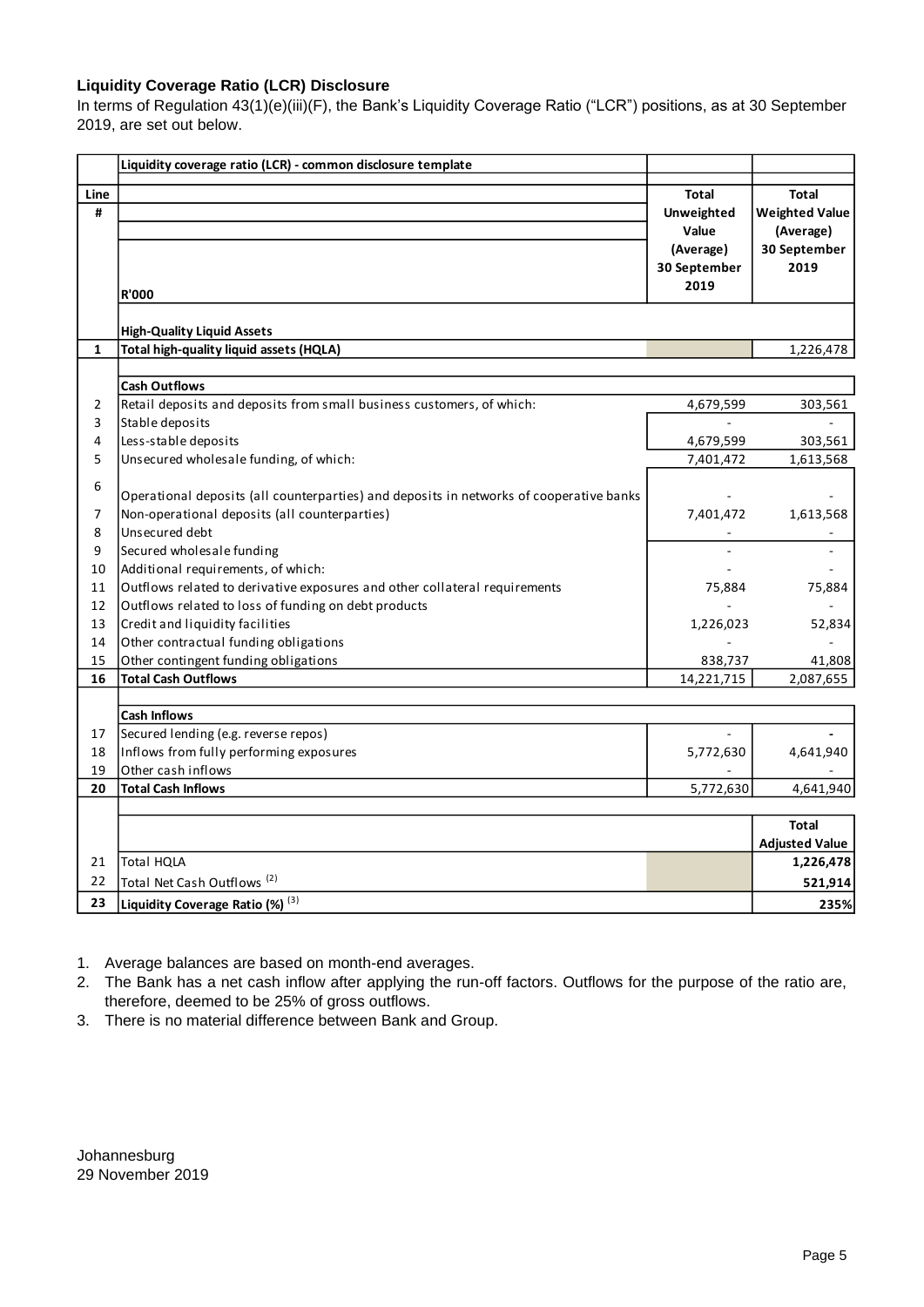### **Liquidity Coverage Ratio (LCR) Disclosure**

In terms of Regulation 43(1)(e)(iii)(F), the Bank's Liquidity Coverage Ratio ("LCR") positions, as at 30 September 2019, are set out below.

|                | Liquidity coverage ratio (LCR) - common disclosure template                             |              |                       |
|----------------|-----------------------------------------------------------------------------------------|--------------|-----------------------|
| Line           |                                                                                         | <b>Total</b> | <b>Total</b>          |
| #              |                                                                                         | Unweighted   | <b>Weighted Value</b> |
|                |                                                                                         | Value        | (Average)             |
|                |                                                                                         | (Average)    | 30 September          |
|                |                                                                                         | 30 September | 2019                  |
|                |                                                                                         | 2019         |                       |
|                | <b>R'000</b>                                                                            |              |                       |
|                | <b>High-Quality Liquid Assets</b>                                                       |              |                       |
| 1              | Total high-quality liquid assets (HQLA)                                                 |              | 1,226,478             |
|                |                                                                                         |              |                       |
|                | <b>Cash Outflows</b>                                                                    |              |                       |
| $\overline{2}$ | Retail deposits and deposits from small business customers, of which:                   | 4,679,599    | 303,561               |
| 3              | Stable deposits                                                                         |              |                       |
| 4              | Less-stable deposits                                                                    | 4,679,599    | 303,561               |
| 5              | Unsecured wholesale funding, of which:                                                  | 7,401,472    | 1,613,568             |
| 6              |                                                                                         |              |                       |
|                | Operational deposits (all counterparties) and deposits in networks of cooperative banks |              |                       |
| 7              | Non-operational deposits (all counterparties)                                           | 7,401,472    | 1,613,568             |
| 8              | Unsecured debt                                                                          |              |                       |
| 9              | Secured wholesale funding                                                               |              |                       |
| 10             | Additional requirements, of which:                                                      |              |                       |
| 11             | Outflows related to derivative exposures and other collateral requirements              | 75,884       | 75,884                |
| 12             | Outflows related to loss of funding on debt products                                    |              |                       |
| 13             | Credit and liquidity facilities                                                         | 1,226,023    | 52,834                |
| 14             | Other contractual funding obligations                                                   |              |                       |
| 15             | Other contingent funding obligations                                                    | 838,737      | 41,808                |
| 16             | <b>Total Cash Outflows</b>                                                              | 14,221,715   | 2,087,655             |
|                |                                                                                         |              |                       |
|                | <b>Cash Inflows</b>                                                                     |              |                       |
| 17             | Secured lending (e.g. reverse repos)                                                    |              |                       |
| 18             | Inflows from fully performing exposures                                                 | 5,772,630    | 4,641,940             |
| 19             | Other cash inflows                                                                      |              |                       |
| 20             | <b>Total Cash Inflows</b>                                                               | 5,772,630    | 4,641,940             |
|                |                                                                                         |              |                       |
|                |                                                                                         |              | <b>Total</b>          |
|                |                                                                                         |              | <b>Adjusted Value</b> |
| 21             | <b>Total HQLA</b>                                                                       |              | 1,226,478             |
| 22             | Total Net Cash Outflows <sup>(2)</sup>                                                  |              | 521,914               |
| 23             | Liquidity Coverage Ratio (%) (3)                                                        |              | 235%                  |

1. Average balances are based on month-end averages.

2. The Bank has a net cash inflow after applying the run-off factors. Outflows for the purpose of the ratio are, therefore, deemed to be 25% of gross outflows.

3. There is no material difference between Bank and Group.

Johannesburg 29 November 2019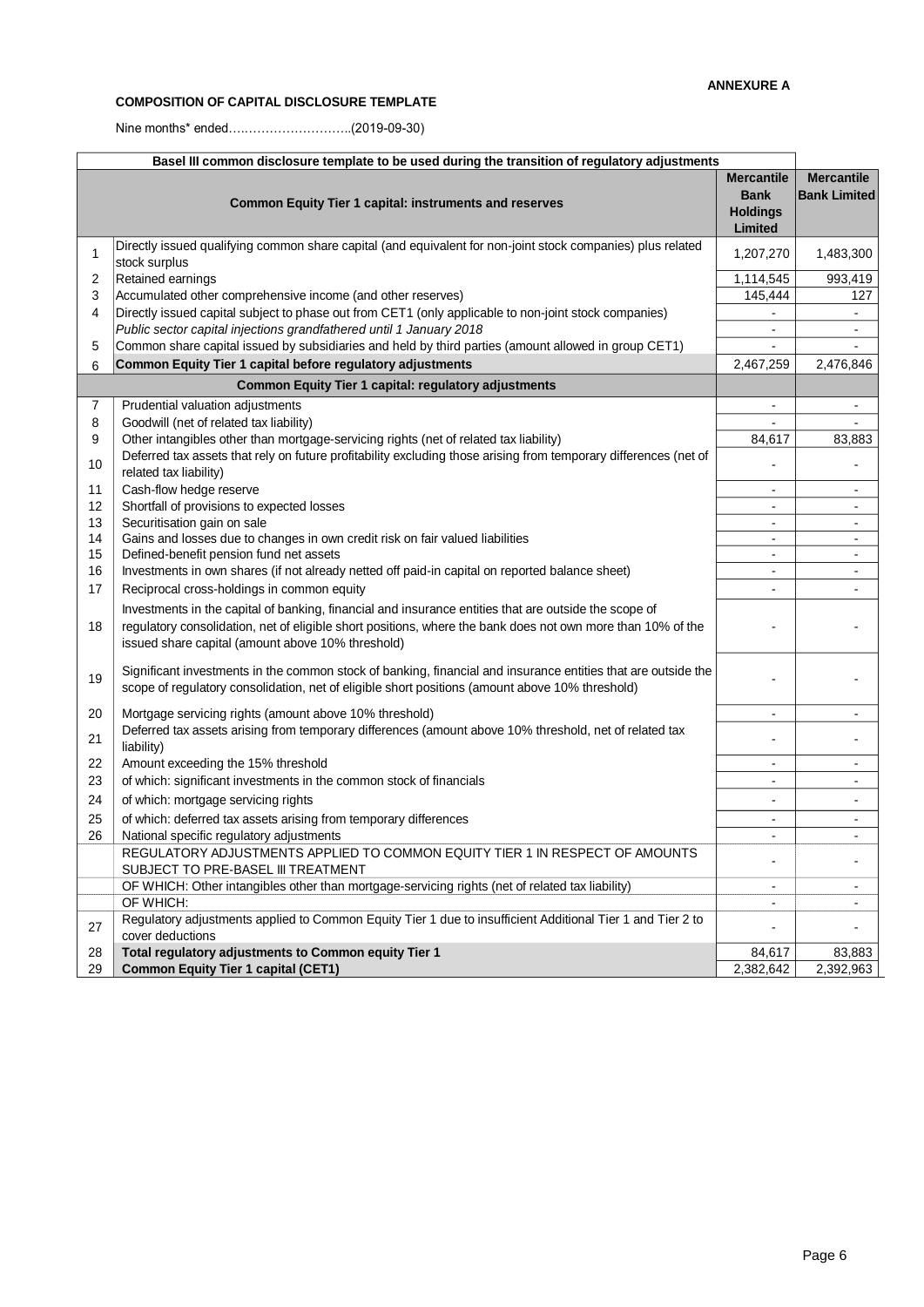# **COMPOSITION OF CAPITAL DISCLOSURE TEMPLATE**

Nine months\* ended….……………………..(2019-09-30)

| Basel III common disclosure template to be used during the transition of regulatory adjustments |                                                                                                                                                                                                                                                                           |                                                                |                                          |  |
|-------------------------------------------------------------------------------------------------|---------------------------------------------------------------------------------------------------------------------------------------------------------------------------------------------------------------------------------------------------------------------------|----------------------------------------------------------------|------------------------------------------|--|
|                                                                                                 | <b>Common Equity Tier 1 capital: instruments and reserves</b>                                                                                                                                                                                                             | <b>Mercantile</b><br><b>Bank</b><br><b>Holdings</b><br>Limited | <b>Mercantile</b><br><b>Bank Limited</b> |  |
| $\mathbf{1}$                                                                                    | Directly issued qualifying common share capital (and equivalent for non-joint stock companies) plus related<br>stock surplus                                                                                                                                              | 1,207,270                                                      | 1,483,300                                |  |
| 2                                                                                               | Retained earnings                                                                                                                                                                                                                                                         | 1,114,545                                                      | 993,419                                  |  |
| 3                                                                                               | Accumulated other comprehensive income (and other reserves)                                                                                                                                                                                                               | 145,444                                                        | 127                                      |  |
| 4                                                                                               | Directly issued capital subject to phase out from CET1 (only applicable to non-joint stock companies)                                                                                                                                                                     | $\blacksquare$                                                 |                                          |  |
|                                                                                                 | Public sector capital injections grandfathered until 1 January 2018                                                                                                                                                                                                       | $\overline{\phantom{a}}$                                       | $\blacksquare$                           |  |
| 5                                                                                               | Common share capital issued by subsidiaries and held by third parties (amount allowed in group CET1)                                                                                                                                                                      |                                                                |                                          |  |
| 6                                                                                               | Common Equity Tier 1 capital before regulatory adjustments                                                                                                                                                                                                                | 2,467,259                                                      | 2,476,846                                |  |
|                                                                                                 | <b>Common Equity Tier 1 capital: regulatory adjustments</b>                                                                                                                                                                                                               |                                                                |                                          |  |
| 7                                                                                               | Prudential valuation adjustments                                                                                                                                                                                                                                          | $\blacksquare$                                                 | $\blacksquare$                           |  |
| 8                                                                                               | Goodwill (net of related tax liability)                                                                                                                                                                                                                                   |                                                                |                                          |  |
| 9                                                                                               | Other intangibles other than mortgage-servicing rights (net of related tax liability)                                                                                                                                                                                     | 84,617                                                         | 83,883                                   |  |
| 10                                                                                              | Deferred tax assets that rely on future profitability excluding those arising from temporary differences (net of<br>related tax liability)                                                                                                                                |                                                                |                                          |  |
| 11                                                                                              | Cash-flow hedge reserve                                                                                                                                                                                                                                                   | $\overline{\phantom{a}}$                                       | $\blacksquare$                           |  |
| 12                                                                                              | Shortfall of provisions to expected losses                                                                                                                                                                                                                                | $\overline{\phantom{a}}$                                       | $\overline{\phantom{a}}$                 |  |
| 13                                                                                              | Securitisation gain on sale                                                                                                                                                                                                                                               | $\blacksquare$                                                 | $\blacksquare$                           |  |
| 14                                                                                              | Gains and losses due to changes in own credit risk on fair valued liabilities                                                                                                                                                                                             | $\blacksquare$                                                 | $\blacksquare$                           |  |
| 15                                                                                              | Defined-benefit pension fund net assets                                                                                                                                                                                                                                   | $\overline{\phantom{a}}$                                       | $\overline{\phantom{a}}$                 |  |
| 16                                                                                              | Investments in own shares (if not already netted off paid-in capital on reported balance sheet)                                                                                                                                                                           | $\blacksquare$                                                 | $\blacksquare$                           |  |
| 17                                                                                              | Reciprocal cross-holdings in common equity                                                                                                                                                                                                                                |                                                                |                                          |  |
| 18                                                                                              | Investments in the capital of banking, financial and insurance entities that are outside the scope of<br>regulatory consolidation, net of eligible short positions, where the bank does not own more than 10% of the<br>issued share capital (amount above 10% threshold) |                                                                |                                          |  |
| 19                                                                                              | Significant investments in the common stock of banking, financial and insurance entities that are outside the<br>scope of regulatory consolidation, net of eligible short positions (amount above 10% threshold)                                                          |                                                                |                                          |  |
| 20                                                                                              | Mortgage servicing rights (amount above 10% threshold)                                                                                                                                                                                                                    | $\overline{a}$                                                 | $\overline{\phantom{a}}$                 |  |
| 21                                                                                              | Deferred tax assets arising from temporary differences (amount above 10% threshold, net of related tax<br>liability)                                                                                                                                                      |                                                                |                                          |  |
| 22                                                                                              | Amount exceeding the 15% threshold                                                                                                                                                                                                                                        | $\blacksquare$                                                 |                                          |  |
| 23                                                                                              | of which: significant investments in the common stock of financials                                                                                                                                                                                                       | $\overline{\phantom{a}}$                                       | $\blacksquare$                           |  |
| 24                                                                                              | of which: mortgage servicing rights                                                                                                                                                                                                                                       | -                                                              | $\blacksquare$                           |  |
| 25                                                                                              | of which: deferred tax assets arising from temporary differences                                                                                                                                                                                                          | $\overline{\phantom{a}}$                                       |                                          |  |
| 26                                                                                              | National specific regulatory adjustments                                                                                                                                                                                                                                  | $\blacksquare$                                                 |                                          |  |
|                                                                                                 | REGULATORY ADJUSTMENTS APPLIED TO COMMON EQUITY TIER 1 IN RESPECT OF AMOUNTS<br>SUBJECT TO PRE-BASEL III TREATMENT                                                                                                                                                        |                                                                |                                          |  |
|                                                                                                 | OF WHICH: Other intangibles other than mortgage-servicing rights (net of related tax liability)                                                                                                                                                                           | ۰.                                                             | $\blacksquare$                           |  |
|                                                                                                 | OF WHICH:                                                                                                                                                                                                                                                                 |                                                                |                                          |  |
| 27                                                                                              | Regulatory adjustments applied to Common Equity Tier 1 due to insufficient Additional Tier 1 and Tier 2 to<br>cover deductions                                                                                                                                            | $\overline{\phantom{a}}$                                       |                                          |  |
| 28                                                                                              | Total regulatory adjustments to Common equity Tier 1                                                                                                                                                                                                                      | 84,617                                                         | 83,883                                   |  |
| 29                                                                                              | <b>Common Equity Tier 1 capital (CET1)</b>                                                                                                                                                                                                                                | 2,382,642                                                      | 2,392,963                                |  |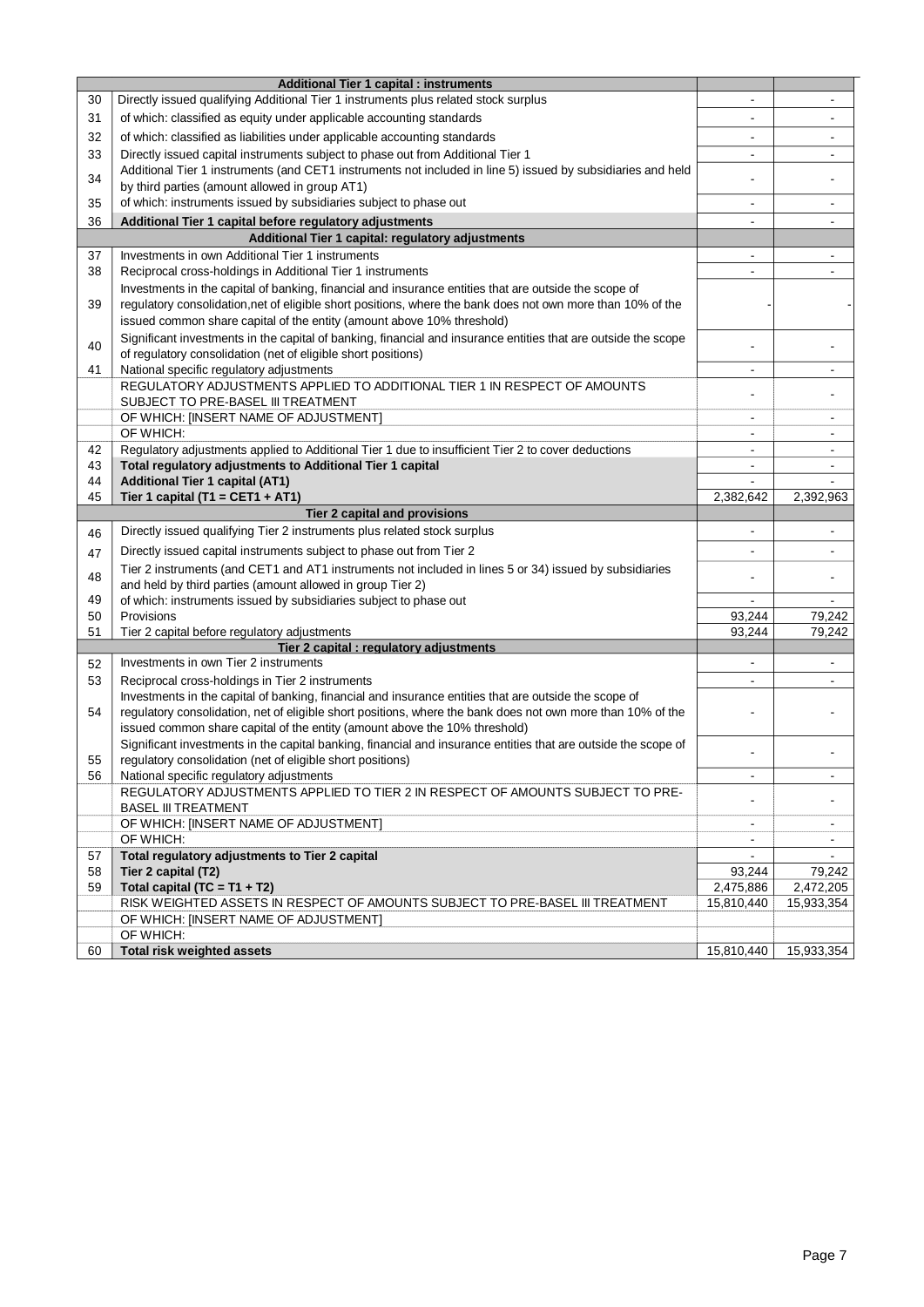|    | <b>Additional Tier 1 capital : instruments</b>                                                                                                                |                                  |                |
|----|---------------------------------------------------------------------------------------------------------------------------------------------------------------|----------------------------------|----------------|
| 30 | Directly issued qualifying Additional Tier 1 instruments plus related stock surplus                                                                           | $\blacksquare$                   |                |
| 31 | of which: classified as equity under applicable accounting standards                                                                                          |                                  |                |
|    |                                                                                                                                                               |                                  |                |
| 32 | of which: classified as liabilities under applicable accounting standards                                                                                     |                                  |                |
| 33 | Directly issued capital instruments subject to phase out from Additional Tier 1                                                                               | $\overline{\phantom{0}}$         |                |
| 34 | Additional Tier 1 instruments (and CET1 instruments not included in line 5) issued by subsidiaries and held<br>by third parties (amount allowed in group AT1) | ä,                               |                |
|    | of which: instruments issued by subsidiaries subject to phase out                                                                                             |                                  |                |
| 35 |                                                                                                                                                               | $\blacksquare$                   | $\blacksquare$ |
| 36 | Additional Tier 1 capital before regulatory adjustments<br>Additional Tier 1 capital: regulatory adjustments                                                  | $\blacksquare$                   |                |
|    | Investments in own Additional Tier 1 instruments                                                                                                              |                                  |                |
| 37 |                                                                                                                                                               | $\blacksquare$<br>$\blacksquare$ | $\mathbf{r}$   |
| 38 | Reciprocal cross-holdings in Additional Tier 1 instruments                                                                                                    |                                  |                |
|    | Investments in the capital of banking, financial and insurance entities that are outside the scope of                                                         |                                  |                |
| 39 | regulatory consolidation, net of eligible short positions, where the bank does not own more than 10% of the                                                   |                                  |                |
|    | issued common share capital of the entity (amount above 10% threshold)                                                                                        |                                  |                |
| 40 | Significant investments in the capital of banking, financial and insurance entities that are outside the scope                                                |                                  |                |
|    | of regulatory consolidation (net of eligible short positions)                                                                                                 |                                  |                |
| 41 | National specific regulatory adjustments<br>REGULATORY ADJUSTMENTS APPLIED TO ADDITIONAL TIER 1 IN RESPECT OF AMOUNTS                                         | $\overline{\phantom{0}}$         |                |
|    | SUBJECT TO PRE-BASEL III TREATMENT                                                                                                                            | $\blacksquare$                   |                |
|    | OF WHICH: [INSERT NAME OF ADJUSTMENT]                                                                                                                         | $\blacksquare$                   |                |
|    | OF WHICH:                                                                                                                                                     | $\blacksquare$                   |                |
| 42 | Regulatory adjustments applied to Additional Tier 1 due to insufficient Tier 2 to cover deductions                                                            | $\blacksquare$                   |                |
| 43 | Total regulatory adjustments to Additional Tier 1 capital                                                                                                     | $\blacksquare$                   | $\blacksquare$ |
| 44 | <b>Additional Tier 1 capital (AT1)</b>                                                                                                                        |                                  |                |
| 45 | Tier 1 capital (T1 = CET1 + AT1)                                                                                                                              | 2,382,642                        | 2,392,963      |
|    | Tier 2 capital and provisions                                                                                                                                 |                                  |                |
| 46 | Directly issued qualifying Tier 2 instruments plus related stock surplus                                                                                      |                                  |                |
|    | Directly issued capital instruments subject to phase out from Tier 2                                                                                          |                                  |                |
| 47 | Tier 2 instruments (and CET1 and AT1 instruments not included in lines 5 or 34) issued by subsidiaries                                                        |                                  |                |
| 48 | and held by third parties (amount allowed in group Tier 2)                                                                                                    |                                  |                |
| 49 | of which: instruments issued by subsidiaries subject to phase out                                                                                             | $\blacksquare$                   |                |
| 50 | Provisions                                                                                                                                                    | 93,244                           | 79,242         |
| 51 | Tier 2 capital before regulatory adjustments                                                                                                                  | 93,244                           | 79,242         |
|    | Tier 2 capital : regulatory adjustments                                                                                                                       |                                  |                |
| 52 | Investments in own Tier 2 instruments                                                                                                                         |                                  |                |
| 53 | Reciprocal cross-holdings in Tier 2 instruments                                                                                                               | $\blacksquare$                   | $\mathbf{r}$   |
|    | Investments in the capital of banking, financial and insurance entities that are outside the scope of                                                         |                                  |                |
| 54 | regulatory consolidation, net of eligible short positions, where the bank does not own more than 10% of the                                                   |                                  |                |
|    | issued common share capital of the entity (amount above the 10% threshold)                                                                                    |                                  |                |
|    | Significant investments in the capital banking, financial and insurance entities that are outside the scope of                                                |                                  |                |
| 55 | regulatory consolidation (net of eligible short positions)                                                                                                    |                                  |                |
| 56 | National specific regulatory adjustments                                                                                                                      | $\blacksquare$                   |                |
|    | REGULATORY ADJUSTMENTS APPLIED TO TIER 2 IN RESPECT OF AMOUNTS SUBJECT TO PRE-                                                                                | ä,                               |                |
|    | <b>BASEL III TREATMENT</b>                                                                                                                                    |                                  |                |
|    | OF WHICH: [INSERT NAME OF ADJUSTMENT]                                                                                                                         | $\blacksquare$                   |                |
|    | OF WHICH:                                                                                                                                                     |                                  |                |
| 57 | Total regulatory adjustments to Tier 2 capital                                                                                                                |                                  |                |
| 58 | Tier 2 capital (T2)                                                                                                                                           | 93,244                           | 79,242         |
| 59 | Total capital (TC = $T1 + T2$ )                                                                                                                               | 2,475,886                        | 2,472,205      |
|    | RISK WEIGHTED ASSETS IN RESPECT OF AMOUNTS SUBJECT TO PRE-BASEL III TREATMENT                                                                                 | 15,810,440                       | 15,933,354     |
|    | OF WHICH: [INSERT NAME OF ADJUSTMENT]<br>OF WHICH:                                                                                                            |                                  |                |
| 60 | <b>Total risk weighted assets</b>                                                                                                                             | 15,810,440                       | 15,933,354     |
|    |                                                                                                                                                               |                                  |                |